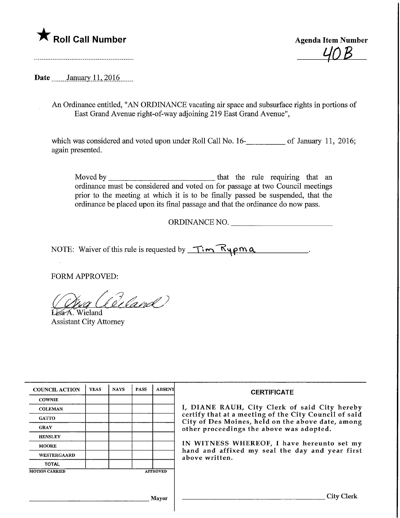

Agenda Item Number  $U \cap B$ 

Date \_\_\_\_\_\_ January 11, 2016

An Ordinance entitled, "AN ORDINANCE vacating air space and subsurface rights in portions of East Grand Avenue right-of-way adjoining 219 East Grand Avenue",

which was considered and voted upon under Roll Call No. 16-<br>16. of January 11, 2016; again presented.

Moved by that the rule requiring that an ordinance must be considered and voted on for passage at two Council meetings prior to the meeting at which it is to be finally passed be suspended, that the ordinance be placed upon its final passage and that the ordinance do now pass.

ORDINANCE NO.

NOTE: Waiver of this rule is requested by  $\overline{T}$   $\overline{K}$   $\gamma$   $\rho$   $\alpha$ 

FORM APPROVED:

(deland) Wieland

Assistant City Attorney

| <b>COUNCIL ACTION</b>                    | <b>YEAS</b> | <b>NAYS</b> | <b>PASS</b> | <b>ABSENT</b> | <b>CERTIFICATE</b>                                                                                                                                                                                                                                                                                                         |
|------------------------------------------|-------------|-------------|-------------|---------------|----------------------------------------------------------------------------------------------------------------------------------------------------------------------------------------------------------------------------------------------------------------------------------------------------------------------------|
| <b>COWNIE</b>                            |             |             |             |               | I, DIANE RAUH, City Clerk of said City hereby<br>certify that at a meeting of the City Council of said<br>City of Des Moines, held on the above date, among<br>other proceedings the above was adopted.<br>IN WITNESS WHEREOF, I have hereunto set my<br>hand and affixed my seal the day and year first<br>above written. |
| <b>COLEMAN</b>                           |             |             |             |               |                                                                                                                                                                                                                                                                                                                            |
| <b>GATTO</b>                             |             |             |             |               |                                                                                                                                                                                                                                                                                                                            |
| <b>GRAY</b>                              |             |             |             |               |                                                                                                                                                                                                                                                                                                                            |
| <b>HENSLEY</b>                           |             |             |             |               |                                                                                                                                                                                                                                                                                                                            |
| <b>MOORE</b>                             |             |             |             |               |                                                                                                                                                                                                                                                                                                                            |
| <b>WESTERGAARD</b>                       |             |             |             |               |                                                                                                                                                                                                                                                                                                                            |
| <b>TOTAL</b>                             |             |             |             |               |                                                                                                                                                                                                                                                                                                                            |
| <b>MOTION CARRIED</b><br><b>APPROVED</b> |             |             |             |               |                                                                                                                                                                                                                                                                                                                            |
|                                          |             |             |             |               |                                                                                                                                                                                                                                                                                                                            |
|                                          |             |             |             |               |                                                                                                                                                                                                                                                                                                                            |
| <b>Mavor</b>                             |             |             |             |               | City Clerk                                                                                                                                                                                                                                                                                                                 |